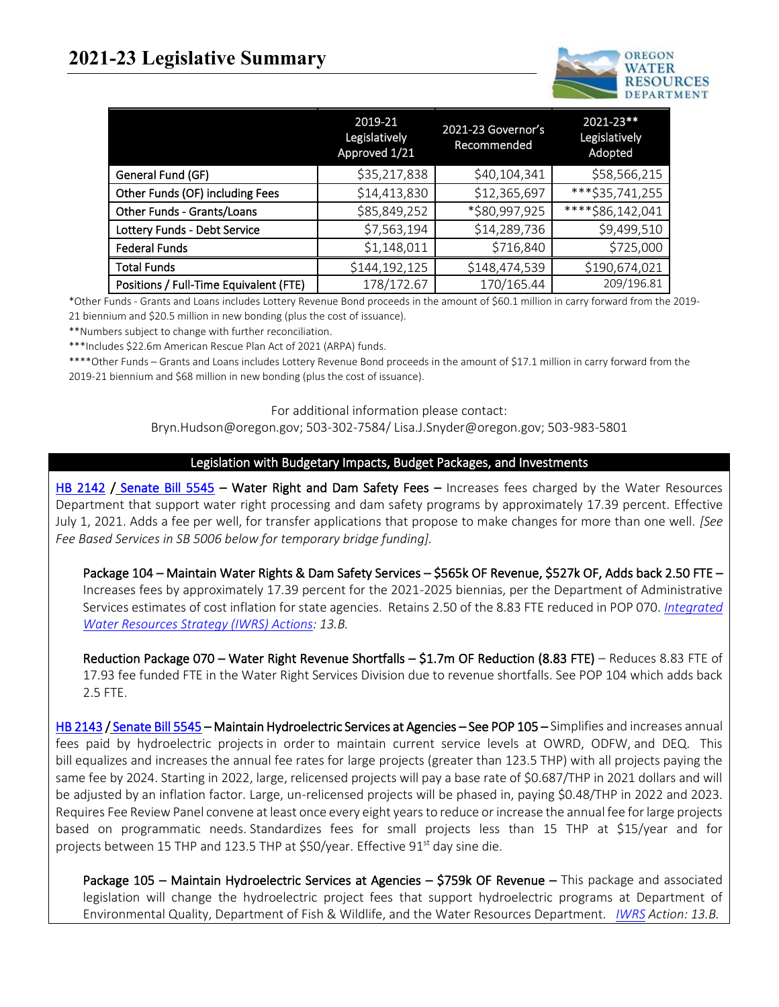# **2021-23 Legislative Summary**



|                                        | 2019-21<br>Legislatively<br>Approved 1/21 | 2021-23 Governor's<br>Recommended | 2021-23**<br>Legislatively<br>Adopted |
|----------------------------------------|-------------------------------------------|-----------------------------------|---------------------------------------|
| General Fund (GF)                      | \$35,217,838                              | \$40,104,341                      | \$58,566,215                          |
| Other Funds (OF) including Fees        | \$14,413,830                              | \$12,365,697                      | ***\$35,741,255                       |
| Other Funds - Grants/Loans             | \$85,849,252                              | *\$80,997,925                     | ****\$86,142,041                      |
| Lottery Funds - Debt Service           | \$7,563,194                               | \$14,289,736                      | \$9,499,510                           |
| <b>Federal Funds</b>                   | \$1,148,011                               | \$716,840                         | \$725,000                             |
| <b>Total Funds</b>                     | \$144,192,125                             | \$148,474,539                     | \$190,674,021                         |
| Positions / Full-Time Equivalent (FTE) | 178/172.67                                | 170/165.44                        | 209/196.81                            |

\*Other Funds - Grants and Loans includes Lottery Revenue Bond proceeds in the amount of \$60.1 million in carry forward from the 2019- 21 biennium and \$20.5 million in new bonding (plus the cost of issuance).

\*\*Numbers subject to change with further reconciliation.

\*\*\*Includes \$22.6m American Rescue Plan Act of 2021 (ARPA) funds.

\*\*\*\*Other Funds – Grants and Loans includes Lottery Revenue Bond proceeds in the amount of \$17.1 million in carry forward from the 2019-21 biennium and \$68 million in new bonding (plus the cost of issuance).

#### For additional information please contact:

Bryn.Hudson@oregon.gov; 503-302-7584/ Lisa.J.Snyder@oregon.gov; 503-983-5801

#### Legislation with Budgetary Impacts, Budget Packages, and Investments

[HB 2142](https://olis.oregonlegislature.gov/liz/2021R1/Measures/Overview/HB2142) / [Senate Bill 5545](https://olis.oregonlegislature.gov/liz/2021R1/Measures/Overview/SB5545) – Water Right and Dam Safety Fees – Increases fees charged by the Water Resources Department that support water right processing and dam safety programs by approximately 17.39 percent. Effective July 1, 2021. Adds a fee per well, for transfer applications that propose to make changes for more than one well. *[See Fee Based Services in SB 5006 below for temporary bridge funding].*

Package 104 – Maintain Water Rights & Dam Safety Services – \$565k OF Revenue, \$527k OF, Adds back 2.50 FTE – Increases fees by approximately 17.39 percent for the 2021-2025 biennias, per the Department of Administrative Services estimates of cost inflation for state agencies. Retains 2.50 of the 8.83 FTE reduced in POP 070. *[Integrated](https://www.oregon.gov/owrd/programs/Planning/IWRS/Documents/DO_IWRS_Framework_Final.pdf)  [Water Resources Strategy \(IWRS\) Actions:](https://www.oregon.gov/owrd/programs/Planning/IWRS/Documents/DO_IWRS_Framework_Final.pdf) 13.B.*

Reduction Package 070 – Water Right Revenue Shortfalls – \$1.7m OF Reduction (8.83 FTE) – Reduces 8.83 FTE of 17.93 fee funded FTE in the Water Right Services Division due to revenue shortfalls. See POP 104 which adds back 2.5 FTE.

[HB 2143](https://olis.oregonlegislature.gov/liz/2021R1/Measures/Overview/HB2143) [/ Senate Bill 5545](https://olis.oregonlegislature.gov/liz/2021R1/Measures/Overview/SB5545) – Maintain Hydroelectric Services at Agencies – See POP 105 – Simplifies and increases annual fees paid by hydroelectric projects in order to maintain current service levels at OWRD, ODFW, and DEQ.  This bill equalizes and increases the annual fee rates for large projects (greater than 123.5 THP) with all projects paying the same fee by 2024. Starting in 2022, large, relicensed projects will pay a base rate of \$0.687/THP in 2021 dollars and will be adjusted by an inflation factor. Large, un-relicensed projects will be phased in, paying \$0.48/THP in 2022 and 2023. Requires Fee Review Panel convene at least once every eight years to reduce or increase the annual fee for large projects based on programmatic needs. Standardizes fees for small projects less than 15 THP at \$15/year and for projects between 15 THP and 123.5 THP at \$50/year. Effective 91<sup>st</sup> day sine die.

Package 105 – Maintain Hydroelectric Services at Agencies – \$759k OF Revenue – This package and associated legislation will change the hydroelectric project fees that support hydroelectric programs at Department of Environmental Quality, Department of Fish & Wildlife, and the Water Resources Department. *[IWRS](http://www.oregon.gov/OWRD/programs/Planning/IWRS/) Action: 13.B.*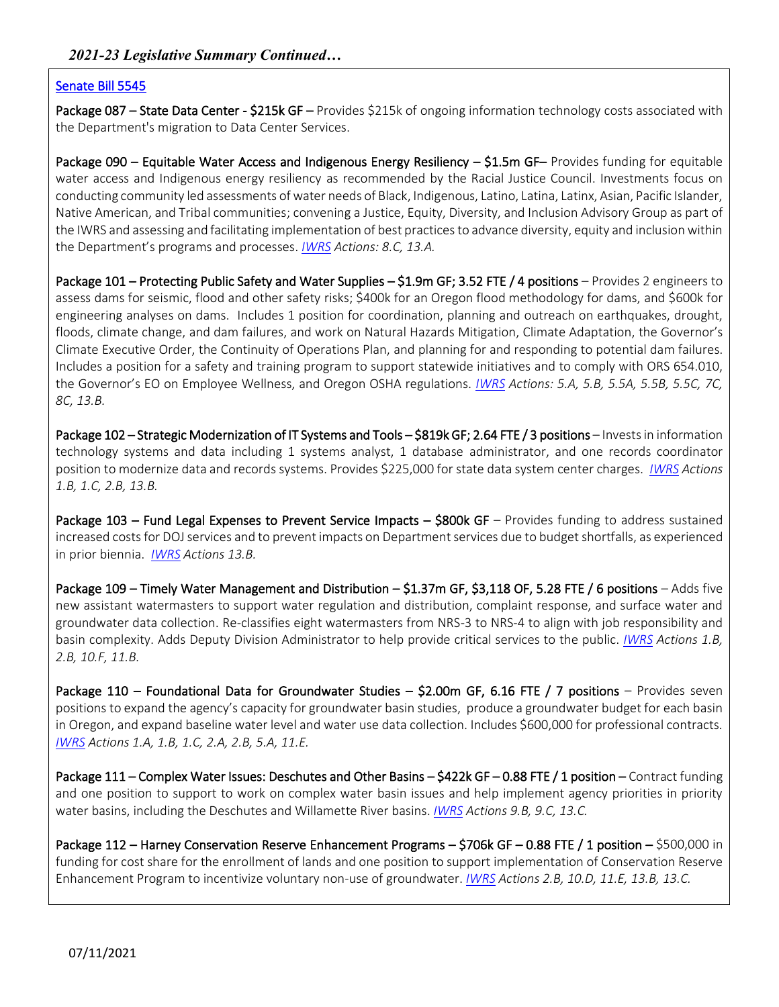#### [Senate Bill 5545](https://olis.oregonlegislature.gov/liz/2021R1/Measures/Overview/SB5545)

Package 087 - State Data Center - \$215k GF - Provides \$215k of ongoing information technology costs associated with the Department's migration to Data Center Services.

Package 090 – Equitable Water Access and Indigenous Energy Resiliency – \$1.5m GF– Provides funding for equitable water access and Indigenous energy resiliency as recommended by the Racial Justice Council. Investments focus on conducting community led assessments of water needs of Black, Indigenous, Latino, Latina, Latinx, Asian, Pacific Islander, Native American, and Tribal communities; convening a Justice, Equity, Diversity, and Inclusion Advisory Group as part of the IWRS and assessing and facilitating implementation of best practices to advance diversity, equity and inclusion within the Department's programs and processes. *[IWRS](http://www.oregon.gov/OWRD/programs/Planning/IWRS/) Actions: 8.C, 13.A.*

Package 101 – Protecting Public Safety and Water Supplies – \$1.9m GF; 3.52 FTE / 4 positions – Provides 2 engineers to assess dams for seismic, flood and other safety risks; \$400k for an Oregon flood methodology for dams, and \$600k for engineering analyses on dams. Includes 1 position for coordination, planning and outreach on earthquakes, drought, floods, climate change, and dam failures, and work on Natural Hazards Mitigation, Climate Adaptation, the Governor's Climate Executive Order, the Continuity of Operations Plan, and planning for and responding to potential dam failures. Includes a position for a safety and training program to support statewide initiatives and to comply with ORS 654.010, the Governor's EO on Employee Wellness, and Oregon OSHA regulations. *[IWRS](https://www.oregon.gov/owrd/programs/Planning/IWRS/Documents/DO_IWRS_Framework_Final.pdf) Actions: 5.A, 5.B, 5.5A, 5.5B, 5.5C, 7C, 8C, 13.B.*

Package 102 – Strategic Modernization of IT Systems and Tools – \$819k GF; 2.64 FTE / 3 positions – Invests in information technology systems and data including 1 systems analyst, 1 database administrator, and one records coordinator position to modernize data and records systems. Provides \$225,000 for state data system center charges. *[IWRS](http://www.oregon.gov/OWRD/programs/Planning/IWRS/) Actions 1.B, 1.C, 2.B, 13.B.*

Package 103 – Fund Legal Expenses to Prevent Service Impacts – \$800k GF – Provides funding to address sustained increased costs for DOJ services and to prevent impacts on Department services due to budget shortfalls, as experienced in prior biennia. *[IWRS](http://www.oregon.gov/OWRD/programs/Planning/IWRS/) Actions 13.B.*

Package 109 – Timely Water Management and Distribution – \$1.37m GF, \$3,118 OF, 5.28 FTE / 6 positions – Adds five new assistant watermasters to support water regulation and distribution, complaint response, and surface water and groundwater data collection. Re-classifies eight watermasters from NRS-3 to NRS-4 to align with job responsibility and basin complexity. Adds Deputy Division Administrator to help provide critical services to the public. *[IWRS](http://www.oregon.gov/OWRD/programs/Planning/IWRS/) Actions 1.B, 2.B, 10.F, 11.B.*

Package 110 – Foundational Data for Groundwater Studies – \$2.00m GF, 6.16 FTE / 7 positions – Provides seven positions to expand the agency's capacity for groundwater basin studies, produce a groundwater budget for each basin in Oregon, and expand baseline water level and water use data collection. Includes \$600,000 for professional contracts. *[IWRS](http://www.oregon.gov/OWRD/programs/Planning/IWRS/) Actions 1.A, 1.B, 1.C, 2.A, 2.B, 5.A, 11.E.*

Package 111 – Complex Water Issues: Deschutes and Other Basins – \$422k GF – 0.88 FTE / 1 position – Contract funding and one position to support to work on complex water basin issues and help implement agency priorities in priority water basins, including the Deschutes and Willamette River basins. *[IWRS](http://www.oregon.gov/OWRD/programs/Planning/IWRS/) Actions 9.B, 9.C, 13.C.*

Package 112 – Harney Conservation Reserve Enhancement Programs – \$706k GF – 0.88 FTE / 1 position – \$500,000 in funding for cost share for the enrollment of lands and one position to support implementation of Conservation Reserve Enhancement Program to incentivize voluntary non-use of groundwater. *[IWRS](http://www.oregon.gov/OWRD/programs/Planning/IWRS/) Actions 2.B, 10.D, 11.E, 13.B, 13.C.*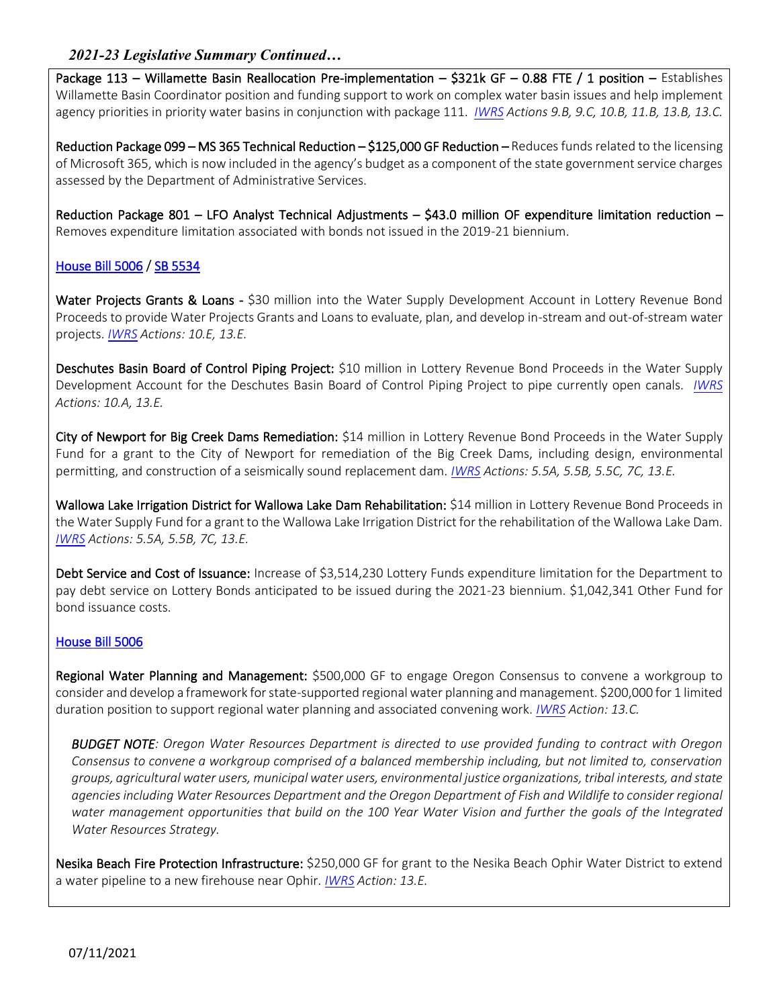## *2021-23 Legislative Summary Continued…*

Package 113 – Willamette Basin Reallocation Pre-implementation – \$321k GF – 0.88 FTE / 1 position – Establishes Willamette Basin Coordinator position and funding support to work on complex water basin issues and help implement agency priorities in priority water basins in conjunction with package 111. *[IWRS](http://www.oregon.gov/OWRD/programs/Planning/IWRS/) Actions 9.B, 9.C, 10.B, 11.B, 13.B, 13.C.*

Reduction Package 099 – MS 365 Technical Reduction – \$125,000 GF Reduction – Reduces funds related to the licensing of Microsoft 365, which is now included in the agency's budget as a component of the state government service charges assessed by the Department of Administrative Services.

Reduction Package 801 – LFO Analyst Technical Adjustments – \$43.0 million OF expenditure limitation reduction – Removes expenditure limitation associated with bonds not issued in the 2019-21 biennium.

### [House Bill 5006](https://olis.oregonlegislature.gov/liz/2021R1/Measures/Overview/HB5006) / [SB 5534](https://olis.oregonlegislature.gov/liz/2021R1/Measures/Overview/SB5534)

Water Projects Grants & Loans - \$30 million into the Water Supply Development Account in Lottery Revenue Bond Proceeds to provide Water Projects Grants and Loans to evaluate, plan, and develop in-stream and out-of-stream water projects. *[IWRS](https://www.oregon.gov/owrd/programs/Planning/IWRS/Documents/DO_IWRS_Framework_Final.pdf) Actions: 10.E, 13.E.*

Deschutes Basin Board of Control Piping Project: \$10 million in Lottery Revenue Bond Proceeds in the Water Supply Development Account for the Deschutes Basin Board of Control Piping Project to pipe currently open canals. *[IWRS](https://www.oregon.gov/owrd/programs/Planning/IWRS/Documents/DO_IWRS_Framework_Final.pdf) Actions: 10.A, 13.E.*

City of Newport for Big Creek Dams Remediation: \$14 million in Lottery Revenue Bond Proceeds in the Water Supply Fund for a grant to the City of Newport for remediation of the Big Creek Dams, including design, environmental permitting, and construction of a seismically sound replacement dam. *[IWRS](https://www.oregon.gov/owrd/programs/Planning/IWRS/Documents/DO_IWRS_Framework_Final.pdf) Actions: 5.5A, 5.5B, 5.5C, 7C, 13.E.*

Wallowa Lake Irrigation District for Wallowa Lake Dam Rehabilitation: \$14 million in Lottery Revenue Bond Proceeds in the Water Supply Fund for a grant to the Wallowa Lake Irrigation District for the rehabilitation of the Wallowa Lake Dam. *[IWRS](https://www.oregon.gov/owrd/programs/Planning/IWRS/Documents/DO_IWRS_Framework_Final.pdf) Actions: 5.5A, 5.5B, 7C, 13.E.*

Debt Service and Cost of Issuance: Increase of \$3,514,230 Lottery Funds expenditure limitation for the Department to pay debt service on Lottery Bonds anticipated to be issued during the 2021-23 biennium. \$1,042,341 Other Fund for bond issuance costs.

#### [House Bill 5006](https://olis.oregonlegislature.gov/liz/2021R1/Measures/Overview/HB5006)

Regional Water Planning and Management: \$500,000 GF to engage Oregon Consensus to convene a workgroup to consider and develop a framework for state-supported regional water planning and management. \$200,000 for 1 limited duration position to support regional water planning and associated convening work. *[IWRS](https://www.oregon.gov/owrd/programs/Planning/IWRS/Documents/DO_IWRS_Framework_Final.pdf) Action: 13.C.*

*BUDGET NOTE: Oregon Water Resources Department is directed to use provided funding to contract with Oregon Consensus to convene a workgroup comprised of a balanced membership including, but not limited to, conservation groups, agricultural water users, municipal water users, environmental justice organizations, tribal interests, and state*  agencies including Water Resources Department and the Oregon Department of Fish and Wildlife to consider regional *water management opportunities that build on the 100 Year Water Vision and further the goals of the Integrated Water Resources Strategy.* 

Nesika Beach Fire Protection Infrastructure: \$250,000 GF for grant to the Nesika Beach Ophir Water District to extend a water pipeline to a new firehouse near Ophir. *[IWRS](https://www.oregon.gov/owrd/programs/Planning/IWRS/Documents/DO_IWRS_Framework_Final.pdf) Action: 13.E.*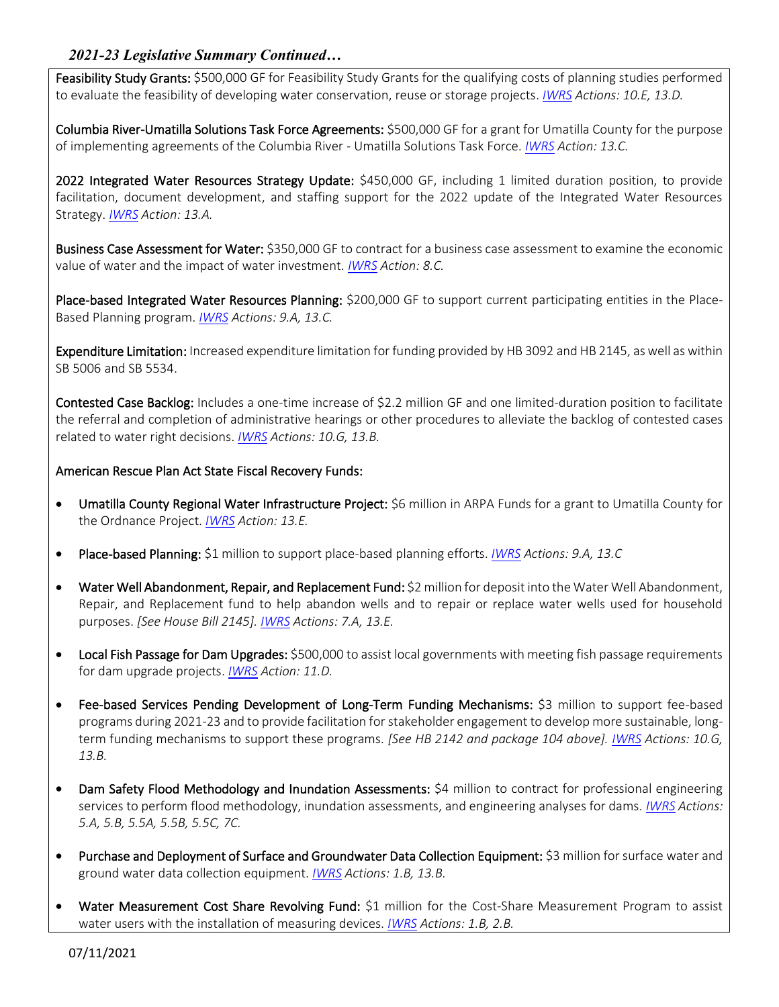## *2021-23 Legislative Summary Continued…*

Feasibility Study Grants: \$500,000 GF for Feasibility Study Grants for the qualifying costs of planning studies performed to evaluate the feasibility of developing water conservation, reuse or storage projects. *[IWRS](https://www.oregon.gov/owrd/programs/Planning/IWRS/Documents/DO_IWRS_Framework_Final.pdf) Actions: 10.E, 13.D.*

Columbia River-Umatilla Solutions Task Force Agreements: \$500,000 GF for a grant for Umatilla County for the purpose of implementing agreements of the Columbia River - Umatilla Solutions Task Force. *[IWRS](https://www.oregon.gov/owrd/programs/Planning/IWRS/Documents/DO_IWRS_Framework_Final.pdf) Action: 13.C.*

2022 Integrated Water Resources Strategy Update: \$450,000 GF, including 1 limited duration position, to provide facilitation, document development, and staffing support for the 2022 update of the Integrated Water Resources Strategy. *[IWRS](https://www.oregon.gov/owrd/programs/Planning/IWRS/Documents/DO_IWRS_Framework_Final.pdf) Action: 13.A.*

Business Case Assessment for Water: \$350,000 GF to contract for a business case assessment to examine the economic value of water and the impact of water investment. *[IWRS](https://www.oregon.gov/owrd/programs/Planning/IWRS/Documents/DO_IWRS_Framework_Final.pdf) Action: 8.C.*

Place-based Integrated Water Resources Planning: \$200,000 GF to support current participating entities in the Place-Based Planning program. *[IWRS](https://www.oregon.gov/owrd/programs/Planning/IWRS/Documents/DO_IWRS_Framework_Final.pdf) Actions: 9.A, 13.C.*

Expenditure Limitation: Increased expenditure limitation for funding provided by HB 3092 and HB 2145, as well as within SB 5006 and SB 5534.

Contested Case Backlog: Includes a one-time increase of \$2.2 million GF and one limited-duration position to facilitate the referral and completion of administrative hearings or other procedures to alleviate the backlog of contested cases related to water right decisions. *[IWRS](https://www.oregon.gov/owrd/programs/Planning/IWRS/Documents/DO_IWRS_Framework_Final.pdf) Actions: 10.G, 13.B.*

#### American Rescue Plan Act State Fiscal Recovery Funds:

- Umatilla County Regional Water Infrastructure Project: \$6 million in ARPA Funds for a grant to Umatilla County for the Ordnance Project. *[IWRS](https://www.oregon.gov/owrd/programs/Planning/IWRS/Documents/DO_IWRS_Framework_Final.pdf) Action: 13.E.*
- Place-based Planning: \$1 million to support place-based planning efforts. *[IWRS](https://www.oregon.gov/owrd/programs/Planning/IWRS/Documents/DO_IWRS_Framework_Final.pdf) Actions: 9.A, 13.C*
- Water Well Abandonment, Repair, and Replacement Fund: \$2 million for deposit into the Water Well Abandonment, Repair, and Replacement fund to help abandon wells and to repair or replace water wells used for household purposes. *[See House Bill 2145]. [IWRS](http://www.oregon.gov/OWRD/programs/Planning/IWRS/) Actions: 7.A, 13.E.*
- Local Fish Passage for Dam Upgrades: \$500,000 to assist local governments with meeting fish passage requirements for dam upgrade projects. *[IWRS](http://www.oregon.gov/OWRD/programs/Planning/IWRS/) Action: 11.D.*
- Fee-based Services Pending Development of Long-Term Funding Mechanisms: \$3 million to support fee-based programs during 2021-23 and to provide facilitation for stakeholder engagement to develop more sustainable, longterm funding mechanisms to support these programs. *[See HB 2142 and package 104 above]. [IWRS](https://www.oregon.gov/owrd/programs/Planning/IWRS/Documents/DO_IWRS_Framework_Final.pdf) Actions: 10.G, 13.B.*
- Dam Safety Flood Methodology and Inundation Assessments: \$4 million to contract for professional engineering services to perform flood methodology, inundation assessments, and engineering analyses for dams. *[IWRS](https://www.oregon.gov/owrd/programs/Planning/IWRS/Documents/DO_IWRS_Framework_Final.pdf) Actions: 5.A, 5.B, 5.5A, 5.5B, 5.5C, 7C.*
- Purchase and Deployment of Surface and Groundwater Data Collection Equipment: \$3 million for surface water and ground water data collection equipment. *[IWRS](https://www.oregon.gov/owrd/programs/Planning/IWRS/Documents/DO_IWRS_Framework_Final.pdf) Actions: 1.B, 13.B.*
- Water Measurement Cost Share Revolving Fund: \$1 million for the Cost-Share Measurement Program to assist water users with the installation of measuring devices. *[IWRS](https://www.oregon.gov/owrd/programs/Planning/IWRS/Documents/DO_IWRS_Framework_Final.pdf) Actions: 1.B, 2.B.*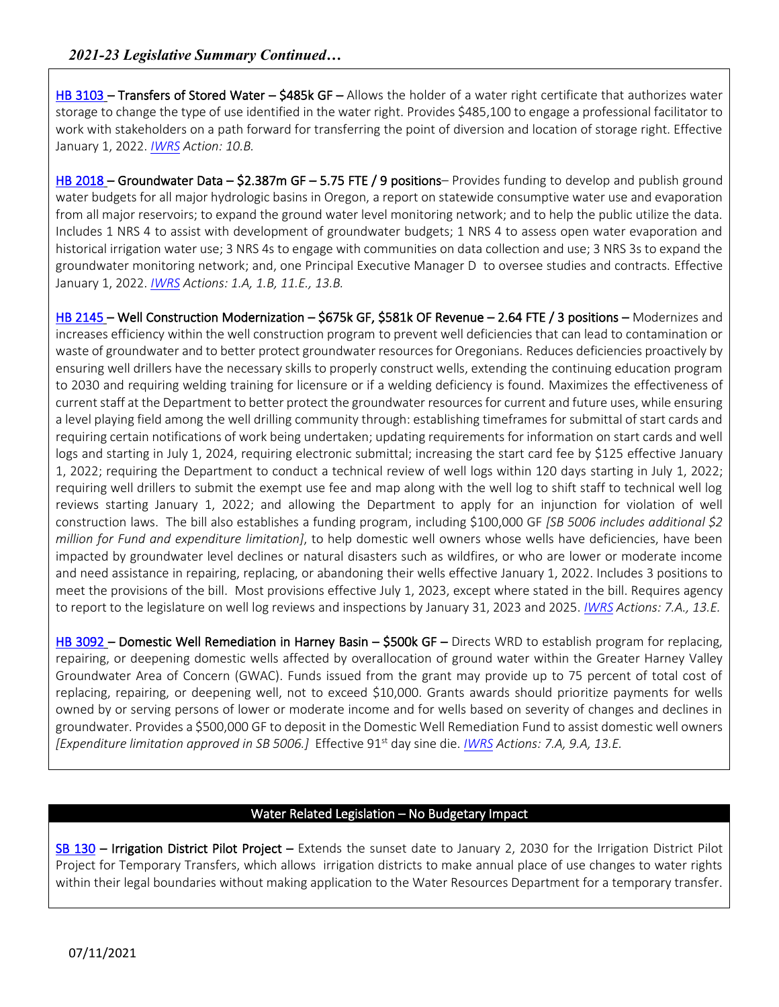[HB 3103](https://olis.oregonlegislature.gov/liz/2021R1/Measures/Overview/HB3103) – Transfers of Stored Water – \$485k GF – Allows the holder of a water right certificate that authorizes water storage to change the type of use identified in the water right. Provides \$485,100 to engage a professional facilitator to work with stakeholders on a path forward for transferring the point of diversion and location of storage right. Effective January 1, 2022. *[IWRS](https://www.oregon.gov/owrd/programs/Planning/IWRS/Documents/DO_IWRS_Framework_Final.pdf) Action: 10.B.*

[HB 2018](https://olis.oregonlegislature.gov/liz/2021R1/Measures/Overview/HB2018) – Groundwater Data – \$2.387m GF – 5.75 FTE / 9 positions– Provides funding to develop and publish ground water budgets for all major hydrologic basins in Oregon, a report on statewide consumptive water use and evaporation from all major reservoirs; to expand the ground water level monitoring network; and to help the public utilize the data. Includes 1 NRS 4 to assist with development of groundwater budgets; 1 NRS 4 to assess open water evaporation and historical irrigation water use; 3 NRS 4s to engage with communities on data collection and use; 3 NRS 3s to expand the groundwater monitoring network; and, one Principal Executive Manager D to oversee studies and contracts. Effective January 1, 2022. *[IWRS](https://www.oregon.gov/owrd/programs/Planning/IWRS/Documents/DO_IWRS_Framework_Final.pdf) Actions: 1.A, 1.B, 11.E., 13.B.*

[HB 2145](https://olis.oregonlegislature.gov/liz/2021R1/Measures/Overview/HB2145) – Well Construction Modernization – \$675k GF, \$581k OF Revenue – 2.64 FTE / 3 positions – Modernizes and increases efficiency within the well construction program to prevent well deficiencies that can lead to contamination or waste of groundwater and to better protect groundwater resources for Oregonians. Reduces deficiencies proactively by ensuring well drillers have the necessary skills to properly construct wells, extending the continuing education program to 2030 and requiring welding training for licensure or if a welding deficiency is found. Maximizes the effectiveness of current staff at the Department to better protect the groundwater resources for current and future uses, while ensuring a level playing field among the well drilling community through: establishing timeframes for submittal of start cards and requiring certain notifications of work being undertaken; updating requirements for information on start cards and well logs and starting in July 1, 2024, requiring electronic submittal; increasing the start card fee by \$125 effective January 1, 2022; requiring the Department to conduct a technical review of well logs within 120 days starting in July 1, 2022; requiring well drillers to submit the exempt use fee and map along with the well log to shift staff to technical well log reviews starting January 1, 2022; and allowing the Department to apply for an injunction for violation of well construction laws. The bill also establishes a funding program, including \$100,000 GF *[SB 5006 includes additional \$2 million for Fund and expenditure limitation]*, to help domestic well owners whose wells have deficiencies, have been impacted by groundwater level declines or natural disasters such as wildfires, or who are lower or moderate income and need assistance in repairing, replacing, or abandoning their wells effective January 1, 2022. Includes 3 positions to meet the provisions of the bill. Most provisions effective July 1, 2023, except where stated in the bill. Requires agency to report to the legislature on well log reviews and inspections by January 31, 2023 and 2025. *[IWRS](http://www.oregon.gov/OWRD/programs/Planning/IWRS/) Actions: 7.A., 13.E.*

[HB 3092](https://olis.oregonlegislature.gov/liz/2021R1/Measures/Overview/HB3092) – Domestic Well Remediation in Harney Basin – \$500k GF – Directs WRD to establish program for replacing, repairing, or deepening domestic wells affected by overallocation of ground water within the Greater Harney Valley Groundwater Area of Concern (GWAC). Funds issued from the grant may provide up to 75 percent of total cost of replacing, repairing, or deepening well, not to exceed \$10,000. Grants awards should prioritize payments for wells owned by or serving persons of lower or moderate income and for wells based on severity of changes and declines in groundwater. Provides a \$500,000 GF to deposit in the Domestic Well Remediation Fund to assist domestic well owners *[Expenditure limitation approved in SB 5006.]* Effective 91st day sine die. *[IWRS](http://www.oregon.gov/OWRD/programs/Planning/IWRS/) Actions: 7.A, 9.A, 13.E.*

## Water Related Legislation – No Budgetary Impact

[SB 130](https://olis.oregonlegislature.gov/liz/2021R1/Measures/Overview/SB130) – Irrigation District Pilot Project – Extends the sunset date to January 2, 2030 for the Irrigation District Pilot Project for Temporary Transfers, which allows irrigation districts to make annual place of use changes to water rights within their legal boundaries without making application to the Water Resources Department for a temporary transfer.